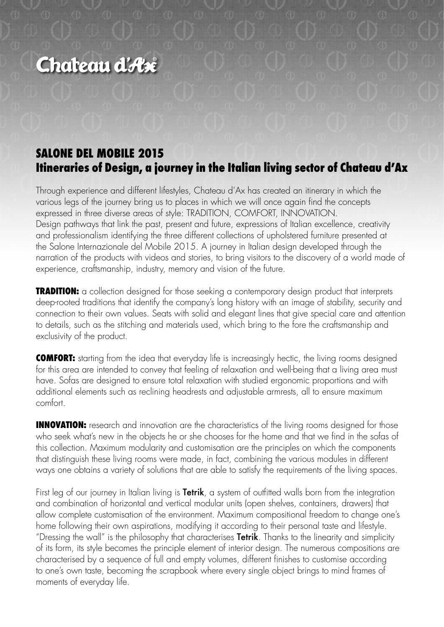# Chateau d'Ax

## **SALONE DEL MOBILE 2015 Itineraries of Design, a journey in the Italian living sector of Chateau d'Ax**

Through experience and different lifestyles, Chateau d'Ax has created an itinerary in which the various legs of the journey bring us to places in which we will once again find the concepts expressed in three diverse areas of style: TRADITION, COMFORT, INNOVATION. Design pathways that link the past, present and future, expressions of Italian excellence, creativity and professionalism identifying the three different collections of upholstered furniture presented at the Salone Internazionale del Mobile 2015. A journey in Italian design developed through the narration of the products with videos and stories, to bring visitors to the discovery of a world made of experience, craftsmanship, industry, memory and vision of the future.

**TRADITION:** a collection designed for those seeking a contemporary design product that interprets deep-rooted traditions that identify the company's long history with an image of stability, security and connection to their own values. Seats with solid and elegant lines that give special care and attention to details, such as the stitching and materials used, which bring to the fore the craftsmanship and exclusivity of the product.

**COMFORT:** starting from the idea that everyday life is increasingly hectic, the living rooms designed for this area are intended to convey that feeling of relaxation and well-being that a living area must have. Sofas are designed to ensure total relaxation with studied ergonomic proportions and with additional elements such as reclining headrests and adjustable armrests, all to ensure maximum comfort.

**INNOVATION:** research and innovation are the characteristics of the living rooms designed for those who seek what's new in the objects he or she chooses for the home and that we find in the sofas of this collection. Maximum modularity and customisation are the principles on which the components that distinguish these living rooms were made, in fact, combining the various modules in different ways one obtains a variety of solutions that are able to satisfy the requirements of the living spaces.

First leg of our journey in Italian living is **Tetrik**, a system of outfitted walls born from the integration and combination of horizontal and vertical modular units (open shelves, containers, drawers) that allow complete customisation of the environment. Maximum compositional freedom to change one's home following their own aspirations, modifying it according to their personal taste and lifestyle. "Dressing the wall" is the philosophy that characterises **Tetrik**. Thanks to the linearity and simplicity of its form, its style becomes the principle element of interior design. The numerous compositions are characterised by a sequence of full and empty volumes, different finishes to customise according to one's own taste, becoming the scrapbook where every single object brings to mind frames of moments of everyday life.